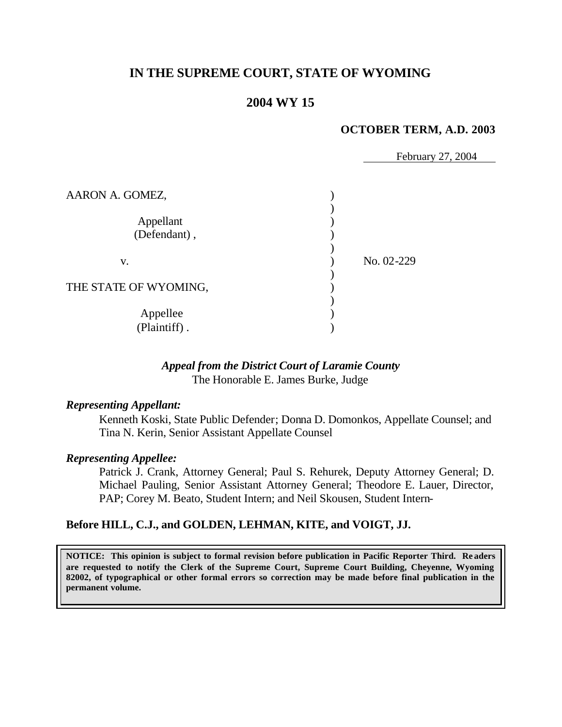# **IN THE SUPREME COURT, STATE OF WYOMING**

## **2004 WY 15**

#### **OCTOBER TERM, A.D. 2003**

February 27, 2004

| AARON A. GOMEZ,           |            |
|---------------------------|------------|
| Appellant<br>(Defendant), |            |
| V.                        | No. 02-229 |
| THE STATE OF WYOMING,     |            |
| Appellee<br>(Plaintiff).  |            |

#### *Appeal from the District Court of Laramie County* The Honorable E. James Burke, Judge

### *Representing Appellant:*

Kenneth Koski, State Public Defender; Donna D. Domonkos, Appellate Counsel; and Tina N. Kerin, Senior Assistant Appellate Counsel

#### *Representing Appellee:*

Patrick J. Crank, Attorney General; Paul S. Rehurek, Deputy Attorney General; D. Michael Pauling, Senior Assistant Attorney General; Theodore E. Lauer, Director, PAP; Corey M. Beato, Student Intern; and Neil Skousen, Student Intern-

#### **Before HILL, C.J., and GOLDEN, LEHMAN, KITE, and VOIGT, JJ.**

**NOTICE: This opinion is subject to formal revision before publication in Pacific Reporter Third. Re aders are requested to notify the Clerk of the Supreme Court, Supreme Court Building, Cheyenne, Wyoming 82002, of typographical or other formal errors so correction may be made before final publication in the permanent volume.**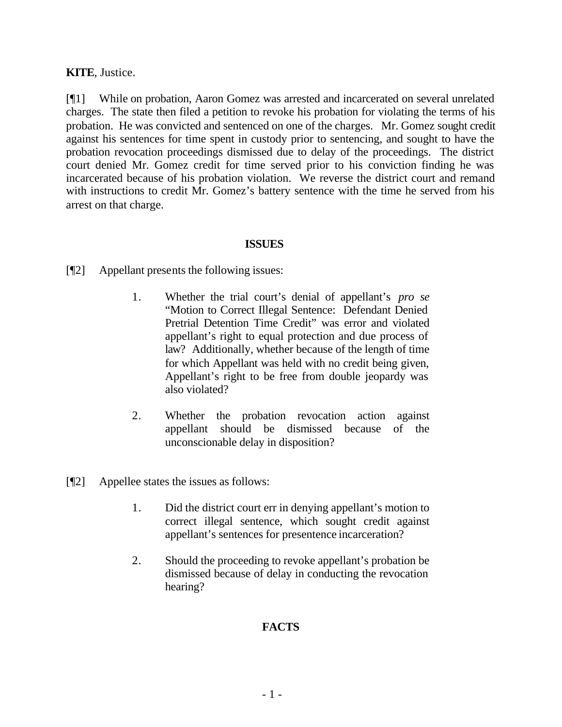### **KITE**, Justice.

[¶1] While on probation, Aaron Gomez was arrested and incarcerated on several unrelated charges. The state then filed a petition to revoke his probation for violating the terms of his probation. He was convicted and sentenced on one of the charges. Mr. Gomez sought credit against his sentences for time spent in custody prior to sentencing, and sought to have the probation revocation proceedings dismissed due to delay of the proceedings. The district court denied Mr. Gomez credit for time served prior to his conviction finding he was incarcerated because of his probation violation. We reverse the district court and remand with instructions to credit Mr. Gomez's battery sentence with the time he served from his arrest on that charge.

#### **ISSUES**

- [¶2] Appellant presents the following issues:
	- 1. Whether the trial court's denial of appellant's *pro se* "Motion to Correct Illegal Sentence: Defendant Denied Pretrial Detention Time Credit" was error and violated appellant's right to equal protection and due process of law? Additionally, whether because of the length of time for which Appellant was held with no credit being given, Appellant's right to be free from double jeopardy was also violated?
	- 2. Whether the probation revocation action against appellant should be dismissed because of the unconscionable delay in disposition?
- [¶2] Appellee states the issues as follows:
	- 1. Did the district court err in denying appellant's motion to correct illegal sentence, which sought credit against appellant's sentences for presentence incarceration?
	- 2. Should the proceeding to revoke appellant's probation be dismissed because of delay in conducting the revocation hearing?

## **FACTS**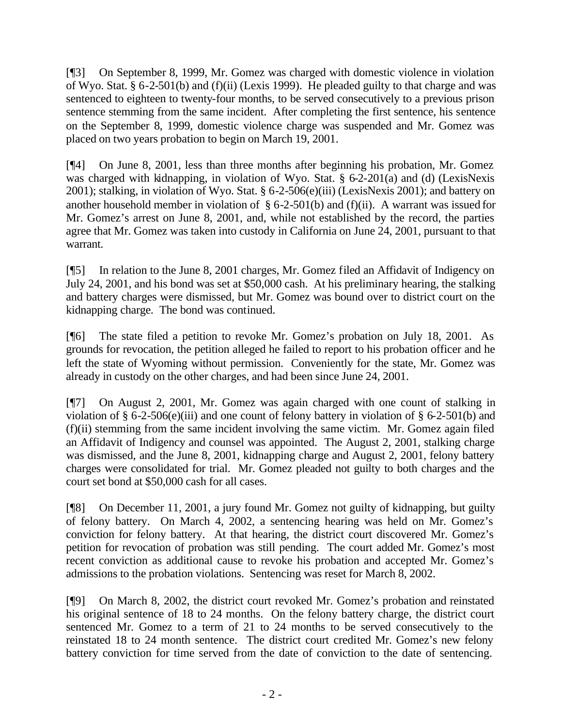[¶3] On September 8, 1999, Mr. Gomez was charged with domestic violence in violation of Wyo. Stat. § 6-2-501(b) and (f)(ii) (Lexis 1999). He pleaded guilty to that charge and was sentenced to eighteen to twenty-four months, to be served consecutively to a previous prison sentence stemming from the same incident. After completing the first sentence, his sentence on the September 8, 1999, domestic violence charge was suspended and Mr. Gomez was placed on two years probation to begin on March 19, 2001.

[¶4] On June 8, 2001, less than three months after beginning his probation, Mr. Gomez was charged with kidnapping, in violation of Wyo. Stat. § 6-2-201(a) and (d) (LexisNexis 2001); stalking, in violation of Wyo. Stat. § 6-2-506(e)(iii) (LexisNexis 2001); and battery on another household member in violation of  $\S 6$ -2-501(b) and (f)(ii). A warrant was issued for Mr. Gomez's arrest on June 8, 2001, and, while not established by the record, the parties agree that Mr. Gomez was taken into custody in California on June 24, 2001, pursuant to that warrant.

[¶5] In relation to the June 8, 2001 charges, Mr. Gomez filed an Affidavit of Indigency on July 24, 2001, and his bond was set at \$50,000 cash. At his preliminary hearing, the stalking and battery charges were dismissed, but Mr. Gomez was bound over to district court on the kidnapping charge. The bond was continued.

[¶6] The state filed a petition to revoke Mr. Gomez's probation on July 18, 2001. As grounds for revocation, the petition alleged he failed to report to his probation officer and he left the state of Wyoming without permission. Conveniently for the state, Mr. Gomez was already in custody on the other charges, and had been since June 24, 2001.

[¶7] On August 2, 2001, Mr. Gomez was again charged with one count of stalking in violation of § 6-2-506(e)(iii) and one count of felony battery in violation of § 6-2-501(b) and  $(f)(ii)$  stemming from the same incident involving the same victim. Mr. Gomez again filed an Affidavit of Indigency and counsel was appointed. The August 2, 2001, stalking charge was dismissed, and the June 8, 2001, kidnapping charge and August 2, 2001, felony battery charges were consolidated for trial. Mr. Gomez pleaded not guilty to both charges and the court set bond at \$50,000 cash for all cases.

[¶8] On December 11, 2001, a jury found Mr. Gomez not guilty of kidnapping, but guilty of felony battery. On March 4, 2002, a sentencing hearing was held on Mr. Gomez's conviction for felony battery. At that hearing, the district court discovered Mr. Gomez's petition for revocation of probation was still pending. The court added Mr. Gomez's most recent conviction as additional cause to revoke his probation and accepted Mr. Gomez's admissions to the probation violations. Sentencing was reset for March 8, 2002.

[¶9] On March 8, 2002, the district court revoked Mr. Gomez's probation and reinstated his original sentence of 18 to 24 months. On the felony battery charge, the district court sentenced Mr. Gomez to a term of 21 to 24 months to be served consecutively to the reinstated 18 to 24 month sentence. The district court credited Mr. Gomez's new felony battery conviction for time served from the date of conviction to the date of sentencing.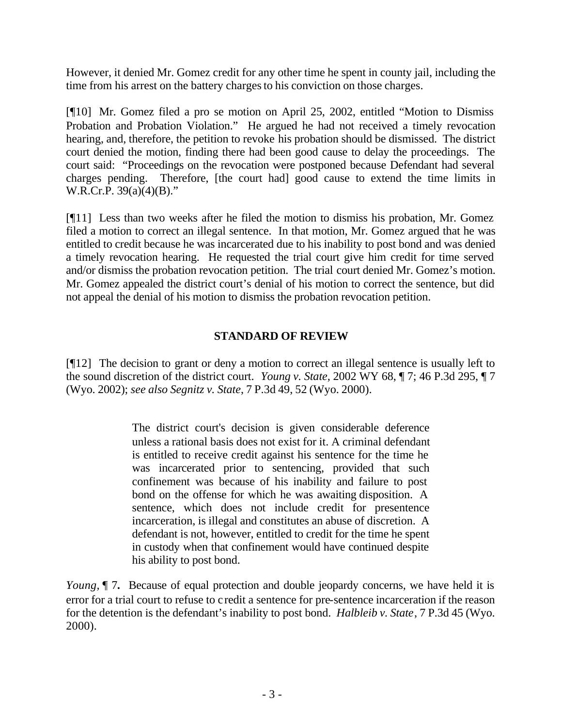However, it denied Mr. Gomez credit for any other time he spent in county jail, including the time from his arrest on the battery charges to his conviction on those charges.

[¶10] Mr. Gomez filed a pro se motion on April 25, 2002, entitled "Motion to Dismiss Probation and Probation Violation." He argued he had not received a timely revocation hearing, and, therefore, the petition to revoke his probation should be dismissed. The district court denied the motion, finding there had been good cause to delay the proceedings. The court said: "Proceedings on the revocation were postponed because Defendant had several charges pending. Therefore, [the court had] good cause to extend the time limits in W.R.Cr.P. 39(a)(4)(B)."

[¶11] Less than two weeks after he filed the motion to dismiss his probation, Mr. Gomez filed a motion to correct an illegal sentence. In that motion, Mr. Gomez argued that he was entitled to credit because he was incarcerated due to his inability to post bond and was denied a timely revocation hearing. He requested the trial court give him credit for time served and/or dismiss the probation revocation petition. The trial court denied Mr. Gomez's motion. Mr. Gomez appealed the district court's denial of his motion to correct the sentence, but did not appeal the denial of his motion to dismiss the probation revocation petition.

## **STANDARD OF REVIEW**

[¶12] The decision to grant or deny a motion to correct an illegal sentence is usually left to the sound discretion of the district court. *Young v. State,* 2002 WY 68, ¶ 7; 46 P.3d 295, ¶ 7 (Wyo. 2002); *see also Segnitz v. State*, 7 P.3d 49, 52 (Wyo. 2000).

> The district court's decision is given considerable deference unless a rational basis does not exist for it. A criminal defendant is entitled to receive credit against his sentence for the time he was incarcerated prior to sentencing, provided that such confinement was because of his inability and failure to post bond on the offense for which he was awaiting disposition. A sentence, which does not include credit for presentence incarceration, is illegal and constitutes an abuse of discretion. A defendant is not, however, entitled to credit for the time he spent in custody when that confinement would have continued despite his ability to post bond.

*Young*,  $\P$  7. Because of equal protection and double jeopardy concerns, we have held it is error for a trial court to refuse to c redit a sentence for pre-sentence incarceration if the reason for the detention is the defendant's inability to post bond. *Halbleib v. State*, 7 P.3d 45 (Wyo. 2000).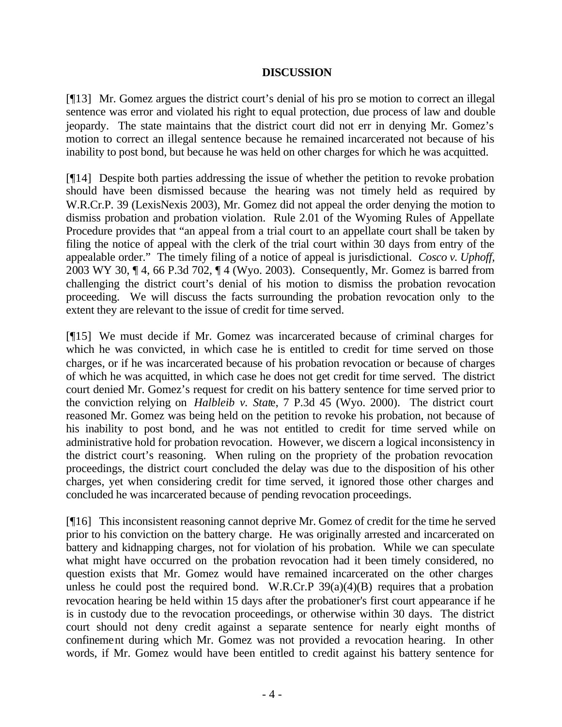### **DISCUSSION**

[¶13] Mr. Gomez argues the district court's denial of his pro se motion to correct an illegal sentence was error and violated his right to equal protection, due process of law and double jeopardy. The state maintains that the district court did not err in denying Mr. Gomez's motion to correct an illegal sentence because he remained incarcerated not because of his inability to post bond, but because he was held on other charges for which he was acquitted.

[¶14] Despite both parties addressing the issue of whether the petition to revoke probation should have been dismissed because the hearing was not timely held as required by W.R.Cr.P. 39 (LexisNexis 2003), Mr. Gomez did not appeal the order denying the motion to dismiss probation and probation violation. Rule 2.01 of the Wyoming Rules of Appellate Procedure provides that "an appeal from a trial court to an appellate court shall be taken by filing the notice of appeal with the clerk of the trial court within 30 days from entry of the appealable order." The timely filing of a notice of appeal is jurisdictional. *Cosco v. Uphoff,*  2003 WY 30, ¶ 4, 66 P.3d 702, ¶ 4 (Wyo. 2003). Consequently, Mr. Gomez is barred from challenging the district court's denial of his motion to dismiss the probation revocation proceeding. We will discuss the facts surrounding the probation revocation only to the extent they are relevant to the issue of credit for time served.

[¶15] We must decide if Mr. Gomez was incarcerated because of criminal charges for which he was convicted, in which case he is entitled to credit for time served on those charges, or if he was incarcerated because of his probation revocation or because of charges of which he was acquitted, in which case he does not get credit for time served. The district court denied Mr. Gomez's request for credit on his battery sentence for time served prior to the conviction relying on *Halbleib v. Stat*e, 7 P.3d 45 (Wyo. 2000). The district court reasoned Mr. Gomez was being held on the petition to revoke his probation, not because of his inability to post bond, and he was not entitled to credit for time served while on administrative hold for probation revocation. However, we discern a logical inconsistency in the district court's reasoning. When ruling on the propriety of the probation revocation proceedings, the district court concluded the delay was due to the disposition of his other charges, yet when considering credit for time served, it ignored those other charges and concluded he was incarcerated because of pending revocation proceedings.

[¶16] This inconsistent reasoning cannot deprive Mr. Gomez of credit for the time he served prior to his conviction on the battery charge. He was originally arrested and incarcerated on battery and kidnapping charges, not for violation of his probation. While we can speculate what might have occurred on the probation revocation had it been timely considered, no question exists that Mr. Gomez would have remained incarcerated on the other charges unless he could post the required bond. W.R.Cr.P  $39(a)(4)(B)$  requires that a probation revocation hearing be held within 15 days after the probationer's first court appearance if he is in custody due to the revocation proceedings, or otherwise within 30 days. The district court should not deny credit against a separate sentence for nearly eight months of confinement during which Mr. Gomez was not provided a revocation hearing. In other words, if Mr. Gomez would have been entitled to credit against his battery sentence for